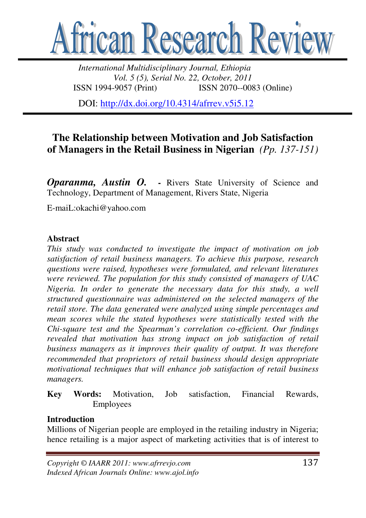

*International Multidisciplinary Journal, Ethiopia Vol. 5 (5), Serial No. 22, October, 2011*  ISSN 1994-9057 (Print) ISSN 2070--0083 (Online)

DOI: http://dx.doi.org/10.4314/afrrev.v5i5.12

# **The Relationship between Motivation and Job Satisfaction of Managers in the Retail Business in Nigerian** *(Pp. 137-151)*

*Oparanma, Austin O.* - Rivers State University of Science and Technology, Department of Management, Rivers State, Nigeria

E-maiL:okachi@yahoo.com

#### **Abstract**

*This study was conducted to investigate the impact of motivation on job satisfaction of retail business managers. To achieve this purpose, research questions were raised, hypotheses were formulated, and relevant literatures were reviewed. The population for this study consisted of managers of UAC Nigeria. In order to generate the necessary data for this study, a well structured questionnaire was administered on the selected managers of the retail store. The data generated were analyzed using simple percentages and mean scores while the stated hypotheses were statistically tested with the Chi-square test and the Spearman's correlation co-efficient. Our findings revealed that motivation has strong impact on job satisfaction of retail business managers as it improves their quality of output. It was therefore recommended that proprietors of retail business should design appropriate motivational techniques that will enhance job satisfaction of retail business managers.* 

**Key Words:** Motivation, Job satisfaction, Financial Rewards, Employees

#### **Introduction**

Millions of Nigerian people are employed in the retailing industry in Nigeria; hence retailing is a major aspect of marketing activities that is of interest to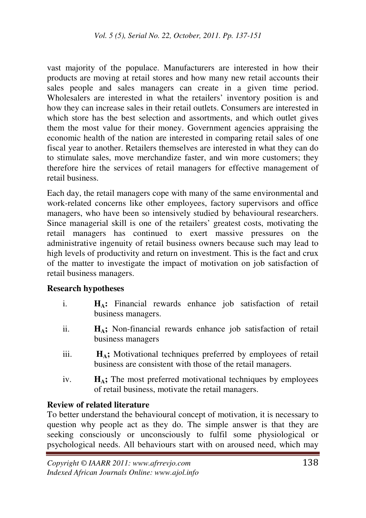vast majority of the populace. Manufacturers are interested in how their products are moving at retail stores and how many new retail accounts their sales people and sales managers can create in a given time period. Wholesalers are interested in what the retailers' inventory position is and how they can increase sales in their retail outlets. Consumers are interested in which store has the best selection and assortments, and which outlet gives them the most value for their money. Government agencies appraising the economic health of the nation are interested in comparing retail sales of one fiscal year to another. Retailers themselves are interested in what they can do to stimulate sales, move merchandize faster, and win more customers; they therefore hire the services of retail managers for effective management of retail business.

Each day, the retail managers cope with many of the same environmental and work-related concerns like other employees, factory supervisors and office managers, who have been so intensively studied by behavioural researchers. Since managerial skill is one of the retailers' greatest costs, motivating the retail managers has continued to exert massive pressures on the administrative ingenuity of retail business owners because such may lead to high levels of productivity and return on investment. This is the fact and crux of the matter to investigate the impact of motivation on job satisfaction of retail business managers.

### **Research hypotheses**

- i. **HA:** Financial rewards enhance job satisfaction of retail business managers.
- ii. **HA;** Non-financial rewards enhance job satisfaction of retail business managers
- iii. **HA;** Motivational techniques preferred by employees of retail business are consistent with those of the retail managers.
- iv. **HA;** The most preferred motivational techniques by employees of retail business, motivate the retail managers.

### **Review of related literature**

To better understand the behavioural concept of motivation, it is necessary to question why people act as they do. The simple answer is that they are seeking consciously or unconsciously to fulfil some physiological or psychological needs. All behaviours start with on aroused need, which may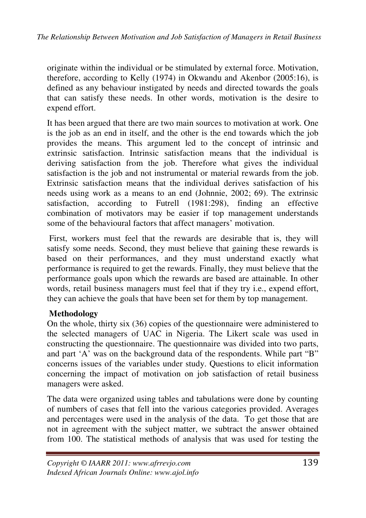originate within the individual or be stimulated by external force. Motivation, therefore, according to Kelly (1974) in Okwandu and Akenbor (2005:16), is defined as any behaviour instigated by needs and directed towards the goals that can satisfy these needs. In other words, motivation is the desire to expend effort.

It has been argued that there are two main sources to motivation at work. One is the job as an end in itself, and the other is the end towards which the job provides the means. This argument led to the concept of intrinsic and extrinsic satisfaction. Intrinsic satisfaction means that the individual is deriving satisfaction from the job. Therefore what gives the individual satisfaction is the job and not instrumental or material rewards from the job. Extrinsic satisfaction means that the individual derives satisfaction of his needs using work as a means to an end (Johnnie, 2002; 69). The extrinsic satisfaction, according to Futrell (1981:298), finding an effective combination of motivators may be easier if top management understands some of the behavioural factors that affect managers' motivation.

 First, workers must feel that the rewards are desirable that is, they will satisfy some needs. Second, they must believe that gaining these rewards is based on their performances, and they must understand exactly what performance is required to get the rewards. Finally, they must believe that the performance goals upon which the rewards are based are attainable. In other words, retail business managers must feel that if they try *i.e.*, expend effort, they can achieve the goals that have been set for them by top management.

# **Methodology**

On the whole, thirty six (36) copies of the questionnaire were administered to the selected managers of UAC in Nigeria. The Likert scale was used in constructing the questionnaire. The questionnaire was divided into two parts, and part 'A' was on the background data of the respondents. While part "B" concerns issues of the variables under study. Questions to elicit information concerning the impact of motivation on job satisfaction of retail business managers were asked.

The data were organized using tables and tabulations were done by counting of numbers of cases that fell into the various categories provided. Averages and percentages were used in the analysis of the data. To get those that are not in agreement with the subject matter, we subtract the answer obtained from 100. The statistical methods of analysis that was used for testing the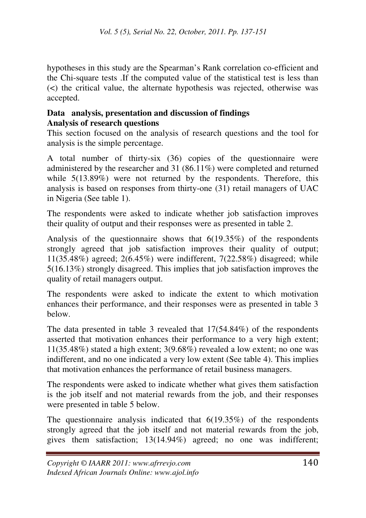hypotheses in this study are the Spearman's Rank correlation co-efficient and the Chi-square tests .If the computed value of the statistical test is less than (<) the critical value, the alternate hypothesis was rejected, otherwise was accepted.

### **Data analysis, presentation and discussion of findings Analysis of research questions**

This section focused on the analysis of research questions and the tool for analysis is the simple percentage.

A total number of thirty-six (36) copies of the questionnaire were administered by the researcher and 31 (86.11%) were completed and returned while  $5(13.89%)$  were not returned by the respondents. Therefore, this analysis is based on responses from thirty-one (31) retail managers of UAC in Nigeria (See table 1).

The respondents were asked to indicate whether job satisfaction improves their quality of output and their responses were as presented in table 2.

Analysis of the questionnaire shows that 6(19.35%) of the respondents strongly agreed that job satisfaction improves their quality of output; 11(35.48%) agreed; 2(6.45%) were indifferent, 7(22.58%) disagreed; while 5(16.13%) strongly disagreed. This implies that job satisfaction improves the quality of retail managers output.

The respondents were asked to indicate the extent to which motivation enhances their performance, and their responses were as presented in table 3 below.

The data presented in table 3 revealed that 17(54.84%) of the respondents asserted that motivation enhances their performance to a very high extent; 11(35.48%) stated a high extent; 3(9.68%) revealed a low extent; no one was indifferent, and no one indicated a very low extent (See table 4). This implies that motivation enhances the performance of retail business managers.

The respondents were asked to indicate whether what gives them satisfaction is the job itself and not material rewards from the job, and their responses were presented in table 5 below.

The questionnaire analysis indicated that  $6(19.35%)$  of the respondents strongly agreed that the job itself and not material rewards from the job, gives them satisfaction; 13(14.94%) agreed; no one was indifferent;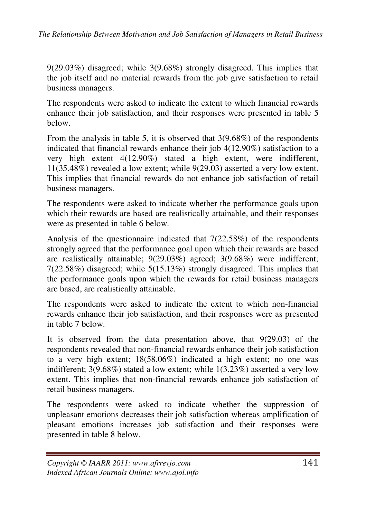9(29.03%) disagreed; while 3(9.68%) strongly disagreed. This implies that the job itself and no material rewards from the job give satisfaction to retail business managers.

The respondents were asked to indicate the extent to which financial rewards enhance their job satisfaction, and their responses were presented in table 5 below.

From the analysis in table 5, it is observed that 3(9.68%) of the respondents indicated that financial rewards enhance their job 4(12.90%) satisfaction to a very high extent 4(12.90%) stated a high extent, were indifferent, 11(35.48%) revealed a low extent; while 9(29.03) asserted a very low extent. This implies that financial rewards do not enhance job satisfaction of retail business managers.

The respondents were asked to indicate whether the performance goals upon which their rewards are based are realistically attainable, and their responses were as presented in table 6 below.

Analysis of the questionnaire indicated that 7(22.58%) of the respondents strongly agreed that the performance goal upon which their rewards are based are realistically attainable; 9(29.03%) agreed; 3(9.68%) were indifferent; 7(22.58%) disagreed; while 5(15.13%) strongly disagreed. This implies that the performance goals upon which the rewards for retail business managers are based, are realistically attainable.

The respondents were asked to indicate the extent to which non-financial rewards enhance their job satisfaction, and their responses were as presented in table 7 below.

It is observed from the data presentation above, that 9(29.03) of the respondents revealed that non-financial rewards enhance their job satisfaction to a very high extent; 18(58.06%) indicated a high extent; no one was indifferent; 3(9.68%) stated a low extent; while 1(3.23%) asserted a very low extent. This implies that non-financial rewards enhance job satisfaction of retail business managers.

The respondents were asked to indicate whether the suppression of unpleasant emotions decreases their job satisfaction whereas amplification of pleasant emotions increases job satisfaction and their responses were presented in table 8 below.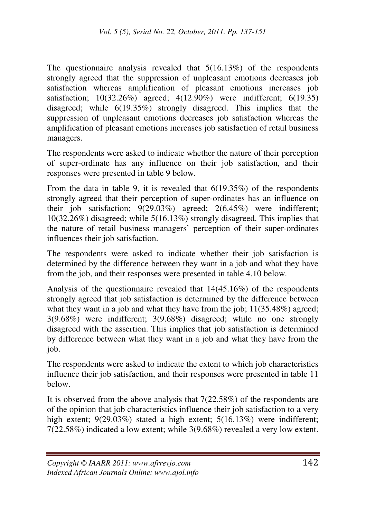The questionnaire analysis revealed that  $5(16.13%)$  of the respondents strongly agreed that the suppression of unpleasant emotions decreases job satisfaction whereas amplification of pleasant emotions increases job satisfaction; 10(32.26%) agreed; 4(12.90%) were indifferent; 6(19.35) disagreed; while 6(19.35%) strongly disagreed. This implies that the suppression of unpleasant emotions decreases job satisfaction whereas the amplification of pleasant emotions increases job satisfaction of retail business managers.

The respondents were asked to indicate whether the nature of their perception of super-ordinate has any influence on their job satisfaction, and their responses were presented in table 9 below.

From the data in table 9, it is revealed that 6(19.35%) of the respondents strongly agreed that their perception of super-ordinates has an influence on their job satisfaction; 9(29.03%) agreed; 2(6.45%) were indifferent; 10(32.26%) disagreed; while 5(16.13%) strongly disagreed. This implies that the nature of retail business managers' perception of their super-ordinates influences their job satisfaction.

The respondents were asked to indicate whether their job satisfaction is determined by the difference between they want in a job and what they have from the job, and their responses were presented in table 4.10 below.

Analysis of the questionnaire revealed that 14(45.16%) of the respondents strongly agreed that job satisfaction is determined by the difference between what they want in a job and what they have from the job;  $11(35.48%)$  agreed; 3(9.68%) were indifferent; 3(9.68%) disagreed; while no one strongly disagreed with the assertion. This implies that job satisfaction is determined by difference between what they want in a job and what they have from the job.

The respondents were asked to indicate the extent to which job characteristics influence their job satisfaction, and their responses were presented in table 11 below.

It is observed from the above analysis that 7(22.58%) of the respondents are of the opinion that job characteristics influence their job satisfaction to a very high extent; 9(29.03%) stated a high extent; 5(16.13%) were indifferent; 7(22.58%) indicated a low extent; while 3(9.68%) revealed a very low extent.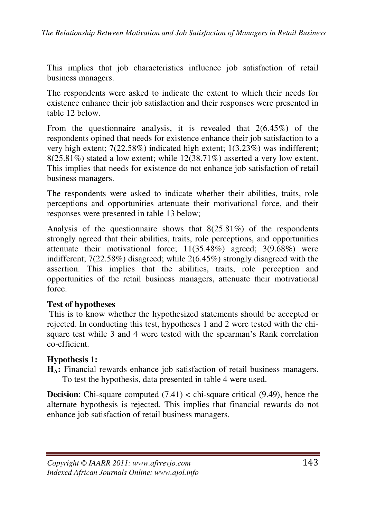This implies that job characteristics influence job satisfaction of retail business managers.

The respondents were asked to indicate the extent to which their needs for existence enhance their job satisfaction and their responses were presented in table 12 below.

From the questionnaire analysis, it is revealed that 2(6.45%) of the respondents opined that needs for existence enhance their job satisfaction to a very high extent; 7(22.58%) indicated high extent; 1(3.23%) was indifferent; 8(25.81%) stated a low extent; while 12(38.71%) asserted a very low extent. This implies that needs for existence do not enhance job satisfaction of retail business managers.

The respondents were asked to indicate whether their abilities, traits, role perceptions and opportunities attenuate their motivational force, and their responses were presented in table 13 below;

Analysis of the questionnaire shows that 8(25.81%) of the respondents strongly agreed that their abilities, traits, role perceptions, and opportunities attenuate their motivational force; 11(35.48%) agreed; 3(9.68%) were indifferent; 7(22.58%) disagreed; while 2(6.45%) strongly disagreed with the assertion. This implies that the abilities, traits, role perception and opportunities of the retail business managers, attenuate their motivational force.

### **Test of hypotheses**

 This is to know whether the hypothesized statements should be accepted or rejected. In conducting this test, hypotheses 1 and 2 were tested with the chisquare test while 3 and 4 were tested with the spearman's Rank correlation co-efficient.

### **Hypothesis 1:**

**HA:** Financial rewards enhance job satisfaction of retail business managers. To test the hypothesis, data presented in table 4 were used.

**Decision**: Chi-square computed (7.41) < chi-square critical (9.49), hence the alternate hypothesis is rejected. This implies that financial rewards do not enhance job satisfaction of retail business managers.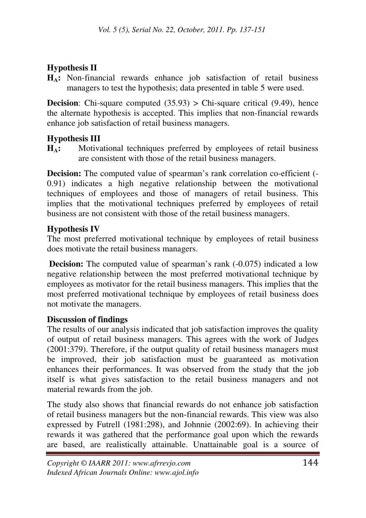# **Hypothesis II**

**HA:** Non-financial rewards enhance job satisfaction of retail business managers to test the hypothesis; data presented in table 5 were used.

**Decision**: Chi-square computed (35.93) > Chi-square critical (9.49), hence the alternate hypothesis is accepted. This implies that non-financial rewards enhance job satisfaction of retail business managers.

# **Hypothesis III**

**HA:** Motivational techniques preferred by employees of retail business are consistent with those of the retail business managers.

**Decision:** The computed value of spearman's rank correlation co-efficient (-0.91) indicates a high negative relationship between the motivational techniques of employees and those of managers of retail business. This implies that the motivational techniques preferred by employees of retail business are not consistent with those of the retail business managers.

# **Hypothesis IV**

The most preferred motivational technique by employees of retail business does motivate the retail business managers.

**Decision:** The computed value of spearman's rank (-0.075) indicated a low negative relationship between the most preferred motivational technique by employees as motivator for the retail business managers. This implies that the most preferred motivational technique by employees of retail business does not motivate the managers.

# **Discussion of findings**

The results of our analysis indicated that job satisfaction improves the quality of output of retail business managers. This agrees with the work of Judges (2001:379). Therefore, if the output quality of retail business managers must be improved, their job satisfaction must be guaranteed as motivation enhances their performances. It was observed from the study that the job itself is what gives satisfaction to the retail business managers and not material rewards from the job.

The study also shows that financial rewards do not enhance job satisfaction of retail business managers but the non-financial rewards. This view was also expressed by Futrell (1981:298), and Johnnie (2002:69). In achieving their rewards it was gathered that the performance goal upon which the rewards are based, are realistically attainable. Unattainable goal is a source of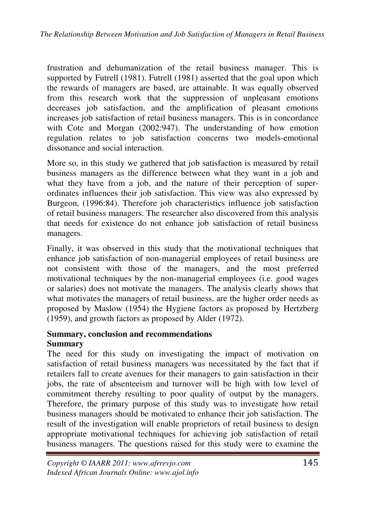frustration and dehumanization of the retail business manager. This is supported by Futrell (1981). Futrell (1981) asserted that the goal upon which the rewards of managers are based, are attainable. It was equally observed from this research work that the suppression of unpleasant emotions decreases job satisfaction, and the amplification of pleasant emotions increases job satisfaction of retail business managers. This is in concordance with Cote and Morgan (2002:947). The understanding of how emotion regulation relates to job satisfaction concerns two models-emotional dissonance and social interaction.

More so, in this study we gathered that job satisfaction is measured by retail business managers as the difference between what they want in a job and what they have from a job, and the nature of their perception of superordinates influences their job satisfaction. This view was also expressed by Burgeon, (1996:84). Therefore job characteristics influence job satisfaction of retail business managers. The researcher also discovered from this analysis that needs for existence do not enhance job satisfaction of retail business managers.

Finally, it was observed in this study that the motivational techniques that enhance job satisfaction of non-managerial employees of retail business are not consistent with those of the managers, and the most preferred motivational techniques by the non-managerial employees (i.e. good wages or salaries) does not motivate the managers. The analysis clearly shows that what motivates the managers of retail business, are the higher order needs as proposed by Maslow (1954) the Hygiene factors as proposed by Hertzberg (1959), and growth factors as proposed by Alder (1972).

### **Summary, conclusion and recommendations Summary**

The need for this study on investigating the impact of motivation on satisfaction of retail business managers was necessitated by the fact that if retailers fall to create avenues for their managers to gain satisfaction in their jobs, the rate of absenteeism and turnover will be high with low level of commitment thereby resulting to poor quality of output by the managers. Therefore, the primary purpose of this study was to investigate how retail business managers should be motivated to enhance their job satisfaction. The result of the investigation will enable proprietors of retail business to design appropriate motivational techniques for achieving job satisfaction of retail business managers. The questions raised for this study were to examine the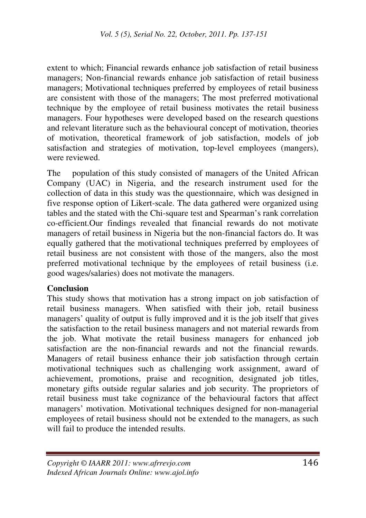extent to which; Financial rewards enhance job satisfaction of retail business managers; Non-financial rewards enhance job satisfaction of retail business managers; Motivational techniques preferred by employees of retail business are consistent with those of the managers; The most preferred motivational technique by the employee of retail business motivates the retail business managers. Four hypotheses were developed based on the research questions and relevant literature such as the behavioural concept of motivation, theories of motivation, theoretical framework of job satisfaction, models of job satisfaction and strategies of motivation, top-level employees (mangers), were reviewed.

The population of this study consisted of managers of the United African Company (UAC) in Nigeria, and the research instrument used for the collection of data in this study was the questionnaire, which was designed in five response option of Likert-scale. The data gathered were organized using tables and the stated with the Chi-square test and Spearman's rank correlation co-efficient.Our findings revealed that financial rewards do not motivate managers of retail business in Nigeria but the non-financial factors do. It was equally gathered that the motivational techniques preferred by employees of retail business are not consistent with those of the mangers, also the most preferred motivational technique by the employees of retail business (i.e. good wages/salaries) does not motivate the managers.

#### **Conclusion**

This study shows that motivation has a strong impact on job satisfaction of retail business managers. When satisfied with their job, retail business managers' quality of output is fully improved and it is the job itself that gives the satisfaction to the retail business managers and not material rewards from the job. What motivate the retail business managers for enhanced job satisfaction are the non-financial rewards and not the financial rewards. Managers of retail business enhance their job satisfaction through certain motivational techniques such as challenging work assignment, award of achievement, promotions, praise and recognition, designated job titles, monetary gifts outside regular salaries and job security. The proprietors of retail business must take cognizance of the behavioural factors that affect managers' motivation. Motivational techniques designed for non-managerial employees of retail business should not be extended to the managers, as such will fail to produce the intended results.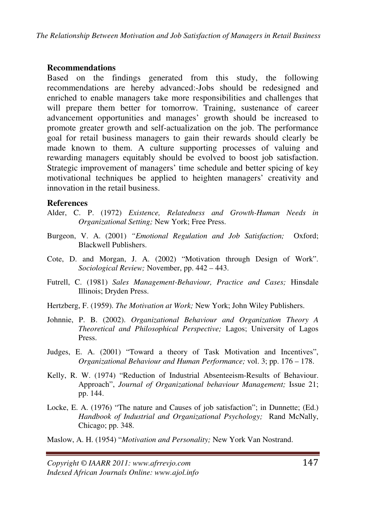#### **Recommendations**

Based on the findings generated from this study, the following recommendations are hereby advanced:-Jobs should be redesigned and enriched to enable managers take more responsibilities and challenges that will prepare them better for tomorrow. Training, sustenance of career advancement opportunities and manages' growth should be increased to promote greater growth and self-actualization on the job. The performance goal for retail business managers to gain their rewards should clearly be made known to them. A culture supporting processes of valuing and rewarding managers equitably should be evolved to boost job satisfaction. Strategic improvement of managers' time schedule and better spicing of key motivational techniques be applied to heighten managers' creativity and innovation in the retail business.

### **References**

- Alder, C. P. (1972) *Existence, Relatedness and Growth-Human Needs in Organizational Setting;* New York; Free Press.
- Burgeon, V. A. (2001) *"Emotional Regulation and Job Satisfaction;* Oxford; Blackwell Publishers.
- Cote, D. and Morgan, J. A. (2002) "Motivation through Design of Work". *Sociological Review;* November, pp. 442 – 443.
- Futrell, C. (1981) *Sales Management-Behaviour, Practice and Cases;* Hinsdale Illinois; Dryden Press.
- Hertzberg, F. (1959). *The Motivation at Work;* New York; John Wiley Publishers.
- Johnnie, P. B. (2002). *Organizational Behaviour and Organization Theory A Theoretical and Philosophical Perspective;* Lagos; University of Lagos Press.
- Judges, E. A. (2001) "Toward a theory of Task Motivation and Incentives", *Organizational Behaviour and Human Performance;* vol. 3; pp. 176 – 178.
- Kelly, R. W. (1974) "Reduction of Industrial Absenteeism-Results of Behaviour. Approach", *Journal of Organizational behaviour Management;* Issue 21; pp. 144.
- Locke, E. A. (1976) "The nature and Causes of job satisfaction"; in Dunnette; (Ed.) *Handbook of Industrial and Organizational Psychology;* Rand McNally, Chicago; pp. 348.

Maslow, A. H. (1954) "*Motivation and Personality;* New York Van Nostrand.

*Copyright © IAARR 2011: www.afrrevjo.com* 147 *Indexed African Journals Online: www.ajol.info*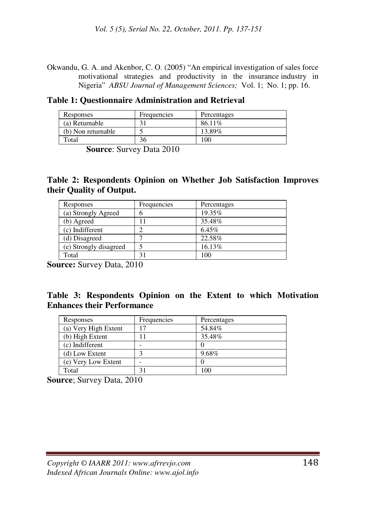Okwandu, G. A. and Akenbor, C. O. (2005) "An empirical investigation of sales force motivational strategies and productivity in the insurance industry in Nigeria" *ABSU Journal of Management Sciences;* Vol. 1; No. 1; pp. 16.

|  |  | Table 1: Questionnaire Administration and Retrieval |  |
|--|--|-----------------------------------------------------|--|
|--|--|-----------------------------------------------------|--|

| Responses          | Frequencies | Percentages |
|--------------------|-------------|-------------|
| (a) Returnable     |             | 86.11%      |
| (b) Non returnable |             | 13.89%      |
| Total              | 36          | 100         |

 **Source**: Survey Data 2010

### **Table 2: Respondents Opinion on Whether Job Satisfaction Improves their Quality of Output.**

| Responses              | Frequencies | Percentages |
|------------------------|-------------|-------------|
| (a) Strongly Agreed    |             | 19.35%      |
| (b) Agreed             |             | 35.48%      |
| (c) Indifferent        |             | 6.45%       |
| (d) Disagreed          |             | 22.58%      |
| (e) Strongly disagreed |             | 16.13%      |
| Total                  | 31          | 100         |

**Source:** Survey Data, 2010

#### **Table 3: Respondents Opinion on the Extent to which Motivation Enhances their Performance**

| Responses            | Frequencies | Percentages |
|----------------------|-------------|-------------|
| (a) Very High Extent |             | 54.84%      |
| (b) High Extent      |             | 35.48%      |
| (c) Indifferent      | -           |             |
| (d) Low Extent       |             | 9.68%       |
| (e) Very Low Extent  |             |             |
| Total                |             | 100         |

**Source**; Survey Data, 2010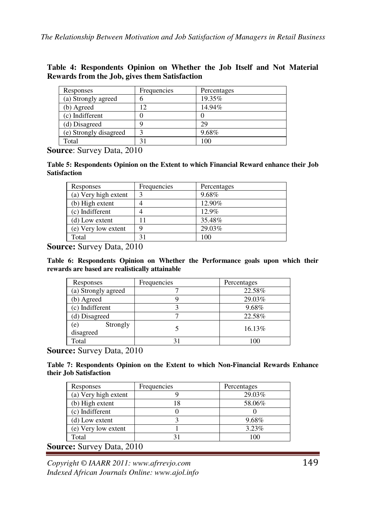|  | Table 4: Respondents Opinion on Whether the Job Itself and Not Material |  |  |  |  |  |
|--|-------------------------------------------------------------------------|--|--|--|--|--|
|  | Rewards from the Job, gives them Satisfaction                           |  |  |  |  |  |

| Responses              | Frequencies | Percentages |
|------------------------|-------------|-------------|
| (a) Strongly agreed    |             | 19.35%      |
| (b) Agreed             | 12          | 14.94%      |
| (c) Indifferent        |             |             |
| (d) Disagreed          |             | 29          |
| (e) Strongly disagreed |             | 9.68%       |
| Total                  |             | 100         |

**Source**: Survey Data, 2010

**Table 5: Respondents Opinion on the Extent to which Financial Reward enhance their Job Satisfaction** 

| Responses            | Frequencies | Percentages |
|----------------------|-------------|-------------|
| (a) Very high extent |             | 9.68%       |
| (b) High extent      |             | 12.90%      |
| (c) Indifferent      |             | 12.9%       |
| (d) Low extent       |             | 35.48%      |
| (e) Very low extent  |             | 29.03%      |
| Total                | 31          | 100         |

**Source:** Survey Data, 2010

**Table 6: Respondents Opinion on Whether the Performance goals upon which their rewards are based are realistically attainable** 

| Responses                    | Frequencies | Percentages |
|------------------------------|-------------|-------------|
| (a) Strongly agreed          |             | 22.58%      |
| b) Agreed                    |             | 29.03%      |
| (c) Indifferent              |             | 9.68%       |
| (d) Disagreed                |             | 22.58%      |
| Strongly<br>(e)<br>disagreed |             | 16.13%      |
| Total                        |             |             |

**Source:** Survey Data, 2010

**Table 7: Respondents Opinion on the Extent to which Non-Financial Rewards Enhance their Job Satisfaction** 

| Responses            | Frequencies | Percentages |
|----------------------|-------------|-------------|
| (a) Very high extent |             | 29.03%      |
| (b) High extent      |             | 58.06%      |
| (c) Indifferent      |             |             |
| $(d)$ Low extent     |             | 9.68%       |
| (e) Very low extent  |             | 3.23%       |
| Total                |             | 100         |

**Source:** Survey Data, 2010

*Copyright © IAARR 2011: www.afrrevjo.com* 149 *Indexed African Journals Online: www.ajol.info*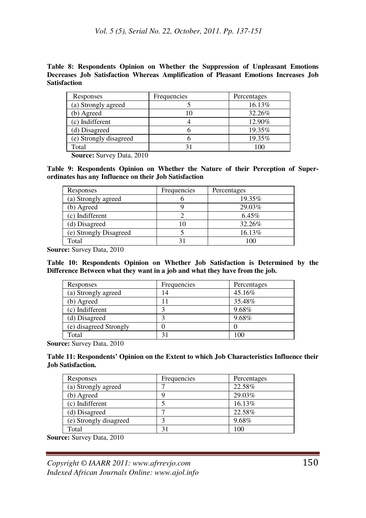**Table 8: Respondents Opinion on Whether the Suppression of Unpleasant Emotions Decreases Job Satisfaction Whereas Amplification of Pleasant Emotions Increases Job Satisfaction**

| Responses              | Frequencies | Percentages |
|------------------------|-------------|-------------|
| (a) Strongly agreed    |             | 16.13%      |
| (b) Agreed             |             | 32.26%      |
| (c) Indifferent        |             | 12.90%      |
| (d) Disagreed          |             | 19.35%      |
| (e) Strongly disagreed |             | 19.35%      |
| Total                  | ↑           | 100         |

 **Source:** Survey Data, 2010

**Table 9: Respondents Opinion on Whether the Nature of their Perception of Superordinates has any Influence on their Job Satisfaction** 

| Responses              | Frequencies    | Percentages |
|------------------------|----------------|-------------|
| (a) Strongly agreed    |                | 19.35%      |
| (b) Agreed             |                | 29.03%      |
| (c) Indifferent        |                | 6.45%       |
| (d) Disagreed          | 10             | 32.26%      |
| (e) Strongly Disagreed |                | 16.13%      |
| Total                  | 3 <sub>1</sub> | 100         |

**Source:** Survey Data, 2010

**Table 10: Respondents Opinion on Whether Job Satisfaction is Determined by the Difference Between what they want in a job and what they have from the job.** 

| Responses              | Frequencies | Percentages |
|------------------------|-------------|-------------|
| (a) Strongly agreed    | 4           | 45.16%      |
| (b) Agreed             |             | 35.48%      |
| (c) Indifferent        |             | 9.68%       |
| (d) Disagreed          |             | 9.68%       |
| (e) disagreed Strongly |             |             |
| Total                  | 31          | 100         |

**Source:** Survey Data, 2010

**Table 11: Respondents' Opinion on the Extent to which Job Characteristics Influence their Job Satisfaction.**

| Responses              | Frequencies | Percentages |
|------------------------|-------------|-------------|
| (a) Strongly agreed    |             | 22.58%      |
| (b) Agreed             |             | 29.03%      |
| (c) Indifferent        |             | 16.13%      |
| (d) Disagreed          |             | 22.58%      |
| (e) Strongly disagreed |             | 9.68%       |
| Total                  | $3^{\circ}$ | 100         |

**Source:** Survey Data, 2010

*Copyright © IAARR 2011: www.afrrevjo.com* 150 *Indexed African Journals Online: www.ajol.info*